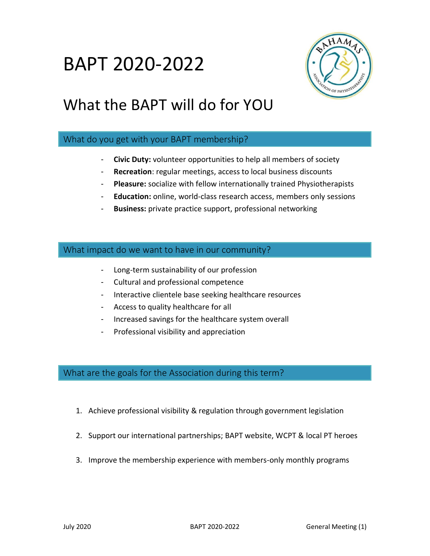## BAPT 2020-2022



## What the BAPT will do for YOU

#### What do you get with your BAPT membership?

- **Civic Duty:** volunteer opportunities to help all members of society
- **Recreation**: regular meetings, access to local business discounts
- **Pleasure:** socialize with fellow internationally trained Physiotherapists
- **Education:** online, world-class research access, members only sessions
- **Business:** private practice support, professional networking

#### What impact do we want to have in our community?

- Long-term sustainability of our profession
- Cultural and professional competence
- Interactive clientele base seeking healthcare resources
- Access to quality healthcare for all
- Increased savings for the healthcare system overall
- Professional visibility and appreciation

#### What are the goals for the Association during this term?

- 1. Achieve professional visibility & regulation through government legislation
- 2. Support our international partnerships; BAPT website, WCPT & local PT heroes
- 3. Improve the membership experience with members-only monthly programs